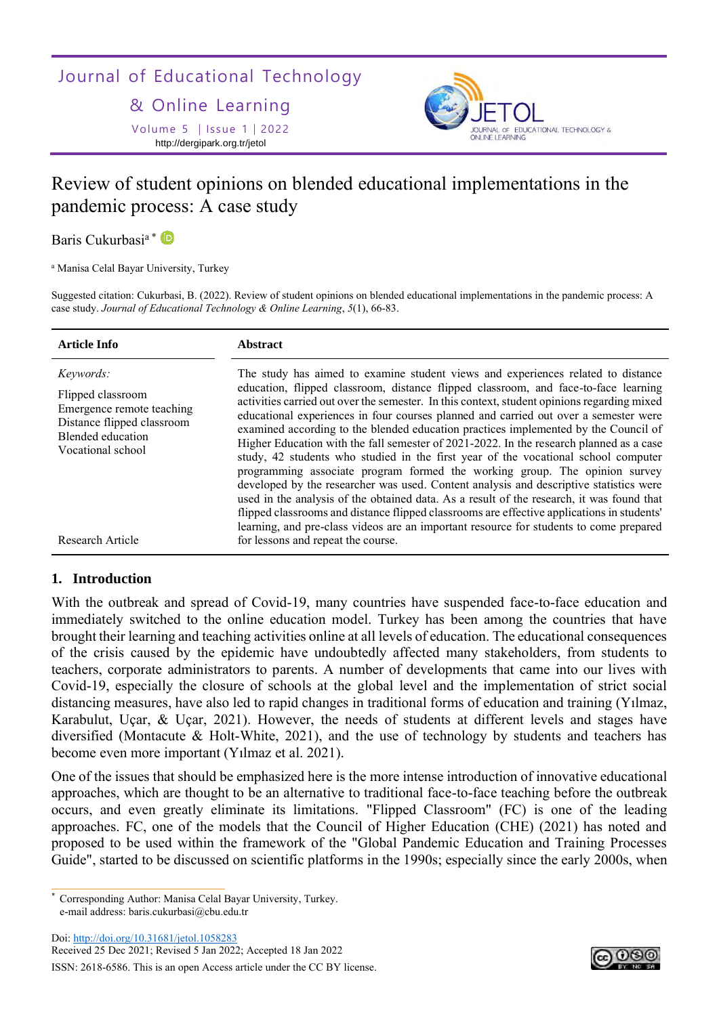# Journal of Educational Technology

& Online Learning

Volume 5 | Issue 1 | 2022 http://dergipark.org.tr/jetol



# Review of student opinions on blended educational implementations in the pandemic process: A case study

Baris Cukurbasi<sup>a</sup> \* **D** 

<sup>a</sup> Manisa Celal Bayar University, Turkey

Suggested citation: Cukurbasi, B. (2022). Review of student opinions on blended educational implementations in the pandemic process: A case study. *Journal of Educational Technology & Online Learning*, *5*(1), 66-83.

| <b>Article Info</b>                                                                                                                                            | <b>Abstract</b>                                                                                                                                                                                                                                                                                                                                                                                                                                                                                                                                                                                                                                                                                                                                                                                                                                                                                                                                                                                                                                                                                                                           |
|----------------------------------------------------------------------------------------------------------------------------------------------------------------|-------------------------------------------------------------------------------------------------------------------------------------------------------------------------------------------------------------------------------------------------------------------------------------------------------------------------------------------------------------------------------------------------------------------------------------------------------------------------------------------------------------------------------------------------------------------------------------------------------------------------------------------------------------------------------------------------------------------------------------------------------------------------------------------------------------------------------------------------------------------------------------------------------------------------------------------------------------------------------------------------------------------------------------------------------------------------------------------------------------------------------------------|
| <i>Keywords:</i><br>Flipped classroom<br>Emergence remote teaching<br>Distance flipped classroom<br>Blended education<br>Vocational school<br>Research Article | The study has aimed to examine student views and experiences related to distance<br>education, flipped classroom, distance flipped classroom, and face-to-face learning<br>activities carried out over the semester. In this context, student opinions regarding mixed<br>educational experiences in four courses planned and carried out over a semester were<br>examined according to the blended education practices implemented by the Council of<br>Higher Education with the fall semester of 2021-2022. In the research planned as a case<br>study, 42 students who studied in the first year of the vocational school computer<br>programming associate program formed the working group. The opinion survey<br>developed by the researcher was used. Content analysis and descriptive statistics were<br>used in the analysis of the obtained data. As a result of the research, it was found that<br>flipped classrooms and distance flipped classrooms are effective applications in students'<br>learning, and pre-class videos are an important resource for students to come prepared<br>for lessons and repeat the course. |
|                                                                                                                                                                |                                                                                                                                                                                                                                                                                                                                                                                                                                                                                                                                                                                                                                                                                                                                                                                                                                                                                                                                                                                                                                                                                                                                           |

# **1. Introduction**

With the outbreak and spread of Covid-19, many countries have suspended face-to-face education and immediately switched to the online education model. Turkey has been among the countries that have brought their learning and teaching activities online at all levels of education. The educational consequences of the crisis caused by the epidemic have undoubtedly affected many stakeholders, from students to teachers, corporate administrators to parents. A number of developments that came into our lives with Covid-19, especially the closure of schools at the global level and the implementation of strict social distancing measures, have also led to rapid changes in traditional forms of education and training (Yılmaz, Karabulut, Uçar, & Uçar, 2021). However, the needs of students at different levels and stages have diversified (Montacute  $\&$  Holt-White, 2021), and the use of technology by students and teachers has become even more important (Yılmaz et al. 2021).

One of the issues that should be emphasized here is the more intense introduction of innovative educational approaches, which are thought to be an alternative to traditional face-to-face teaching before the outbreak occurs, and even greatly eliminate its limitations. "Flipped Classroom" (FC) is one of the leading approaches. FC, one of the models that the Council of Higher Education (CHE) (2021) has noted and proposed to be used within the framework of the "Global Pandemic Education and Training Processes Guide", started to be discussed on scientific platforms in the 1990s; especially since the early 2000s, when

Doi:<http://doi.org/10.31681/jetol.1058283> Received 25 Dec 2021; Revised 5 Jan 2022; Accepted 18 Jan 2022

ISSN: 2618-6586. This is an open Access article under the CC BY license.



Corresponding Author: Manisa Celal Bayar University, Turkey. e-mail address: baris.cukurbasi@cbu.edu.tr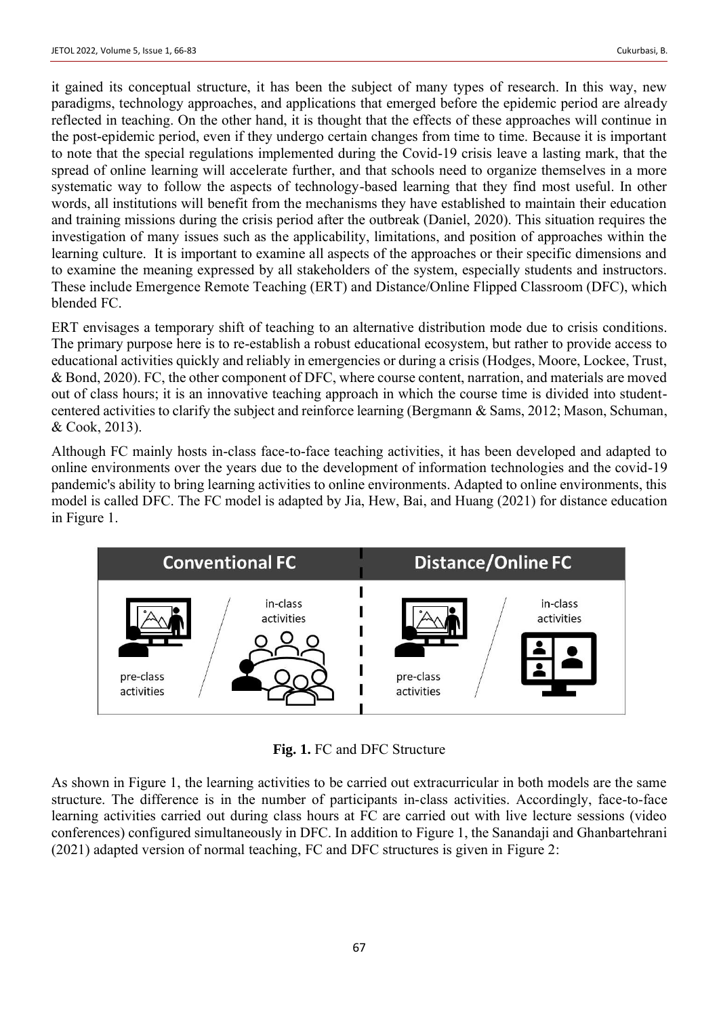it gained its conceptual structure, it has been the subject of many types of research. In this way, new paradigms, technology approaches, and applications that emerged before the epidemic period are already reflected in teaching. On the other hand, it is thought that the effects of these approaches will continue in the post-epidemic period, even if they undergo certain changes from time to time. Because it is important to note that the special regulations implemented during the Covid-19 crisis leave a lasting mark, that the spread of online learning will accelerate further, and that schools need to organize themselves in a more systematic way to follow the aspects of technology-based learning that they find most useful. In other words, all institutions will benefit from the mechanisms they have established to maintain their education and training missions during the crisis period after the outbreak (Daniel, 2020). This situation requires the investigation of many issues such as the applicability, limitations, and position of approaches within the learning culture. It is important to examine all aspects of the approaches or their specific dimensions and to examine the meaning expressed by all stakeholders of the system, especially students and instructors. These include Emergence Remote Teaching (ERT) and Distance/Online Flipped Classroom (DFC), which blended FC.

ERT envisages a temporary shift of teaching to an alternative distribution mode due to crisis conditions. The primary purpose here is to re-establish a robust educational ecosystem, but rather to provide access to educational activities quickly and reliably in emergencies or during a crisis (Hodges, Moore, Lockee, Trust, & Bond, 2020). FC, the other component of DFC, where course content, narration, and materials are moved out of class hours; it is an innovative teaching approach in which the course time is divided into studentcentered activities to clarify the subject and reinforce learning (Bergmann & Sams, 2012; Mason, Schuman, & Cook, 2013).

Although FC mainly hosts in-class face-to-face teaching activities, it has been developed and adapted to online environments over the years due to the development of information technologies and the covid-19 pandemic's ability to bring learning activities to online environments. Adapted to online environments, this model is called DFC. The FC model is adapted by Jia, Hew, Bai, and Huang (2021) for distance education in Figure 1.



**Fig. 1.** FC and DFC Structure

As shown in Figure 1, the learning activities to be carried out extracurricular in both models are the same structure. The difference is in the number of participants in-class activities. Accordingly, face-to-face learning activities carried out during class hours at FC are carried out with live lecture sessions (video conferences) configured simultaneously in DFC. In addition to Figure 1, the Sanandaji and Ghanbartehrani (2021) adapted version of normal teaching, FC and DFC structures is given in Figure 2: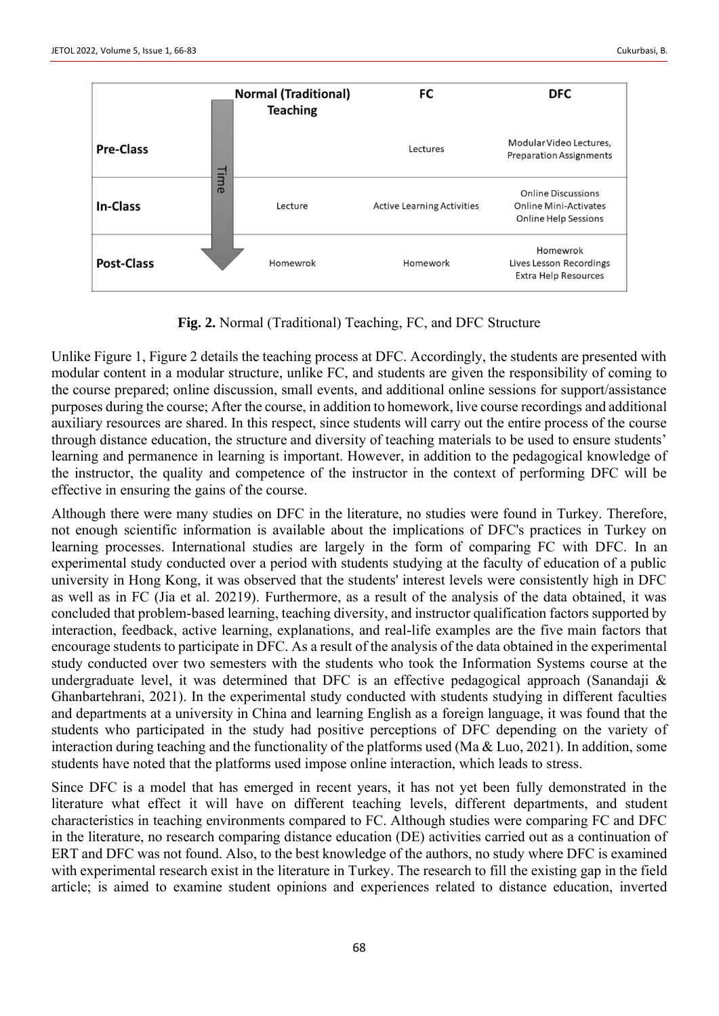

**Fig. 2.** Normal (Traditional) Teaching, FC, and DFC Structure

Unlike Figure 1, Figure 2 details the teaching process at DFC. Accordingly, the students are presented with modular content in a modular structure, unlike FC, and students are given the responsibility of coming to the course prepared; online discussion, small events, and additional online sessions for support/assistance purposes during the course; After the course, in addition to homework, live course recordings and additional auxiliary resources are shared. In this respect, since students will carry out the entire process of the course through distance education, the structure and diversity of teaching materials to be used to ensure students' learning and permanence in learning is important. However, in addition to the pedagogical knowledge of the instructor, the quality and competence of the instructor in the context of performing DFC will be effective in ensuring the gains of the course.

Although there were many studies on DFC in the literature, no studies were found in Turkey. Therefore, not enough scientific information is available about the implications of DFC's practices in Turkey on learning processes. International studies are largely in the form of comparing FC with DFC. In an experimental study conducted over a period with students studying at the faculty of education of a public university in Hong Kong, it was observed that the students' interest levels were consistently high in DFC as well as in FC (Jia et al. 20219). Furthermore, as a result of the analysis of the data obtained, it was concluded that problem-based learning, teaching diversity, and instructor qualification factors supported by interaction, feedback, active learning, explanations, and real-life examples are the five main factors that encourage students to participate in DFC. As a result of the analysis of the data obtained in the experimental study conducted over two semesters with the students who took the Information Systems course at the undergraduate level, it was determined that DFC is an effective pedagogical approach (Sanandaji  $\&$ Ghanbartehrani, 2021). In the experimental study conducted with students studying in different faculties and departments at a university in China and learning English as a foreign language, it was found that the students who participated in the study had positive perceptions of DFC depending on the variety of interaction during teaching and the functionality of the platforms used (Ma & Luo, 2021). In addition, some students have noted that the platforms used impose online interaction, which leads to stress.

Since DFC is a model that has emerged in recent years, it has not yet been fully demonstrated in the literature what effect it will have on different teaching levels, different departments, and student characteristics in teaching environments compared to FC. Although studies were comparing FC and DFC in the literature, no research comparing distance education (DE) activities carried out as a continuation of ERT and DFC was not found. Also, to the best knowledge of the authors, no study where DFC is examined with experimental research exist in the literature in Turkey. The research to fill the existing gap in the field article; is aimed to examine student opinions and experiences related to distance education, inverted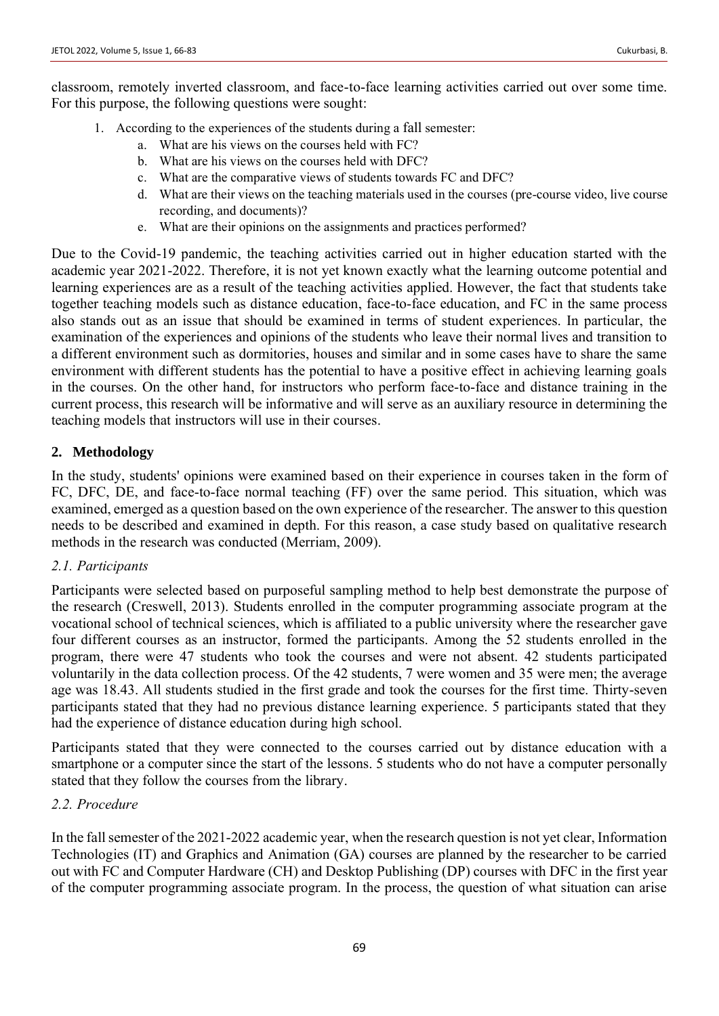classroom, remotely inverted classroom, and face-to-face learning activities carried out over some time. For this purpose, the following questions were sought:

- 1. According to the experiences of the students during a fall semester:
	- a. What are his views on the courses held with FC?
	- b. What are his views on the courses held with DFC?
	- c. What are the comparative views of students towards FC and DFC?
	- d. What are their views on the teaching materials used in the courses (pre-course video, live course recording, and documents)?
	- e. What are their opinions on the assignments and practices performed?

Due to the Covid-19 pandemic, the teaching activities carried out in higher education started with the academic year 2021-2022. Therefore, it is not yet known exactly what the learning outcome potential and learning experiences are as a result of the teaching activities applied. However, the fact that students take together teaching models such as distance education, face-to-face education, and FC in the same process also stands out as an issue that should be examined in terms of student experiences. In particular, the examination of the experiences and opinions of the students who leave their normal lives and transition to a different environment such as dormitories, houses and similar and in some cases have to share the same environment with different students has the potential to have a positive effect in achieving learning goals in the courses. On the other hand, for instructors who perform face-to-face and distance training in the current process, this research will be informative and will serve as an auxiliary resource in determining the teaching models that instructors will use in their courses.

# **2. Methodology**

In the study, students' opinions were examined based on their experience in courses taken in the form of FC, DFC, DE, and face-to-face normal teaching (FF) over the same period. This situation, which was examined, emerged as a question based on the own experience of the researcher. The answer to this question needs to be described and examined in depth. For this reason, a case study based on qualitative research methods in the research was conducted (Merriam, 2009).

# *2.1. Participants*

Participants were selected based on purposeful sampling method to help best demonstrate the purpose of the research (Creswell, 2013). Students enrolled in the computer programming associate program at the vocational school of technical sciences, which is affiliated to a public university where the researcher gave four different courses as an instructor, formed the participants. Among the 52 students enrolled in the program, there were 47 students who took the courses and were not absent. 42 students participated voluntarily in the data collection process. Of the 42 students, 7 were women and 35 were men; the average age was 18.43. All students studied in the first grade and took the courses for the first time. Thirty-seven participants stated that they had no previous distance learning experience. 5 participants stated that they had the experience of distance education during high school.

Participants stated that they were connected to the courses carried out by distance education with a smartphone or a computer since the start of the lessons. 5 students who do not have a computer personally stated that they follow the courses from the library.

## *2.2. Procedure*

In the fall semester of the 2021-2022 academic year, when the research question is not yet clear, Information Technologies (IT) and Graphics and Animation (GA) courses are planned by the researcher to be carried out with FC and Computer Hardware (CH) and Desktop Publishing (DP) courses with DFC in the first year of the computer programming associate program. In the process, the question of what situation can arise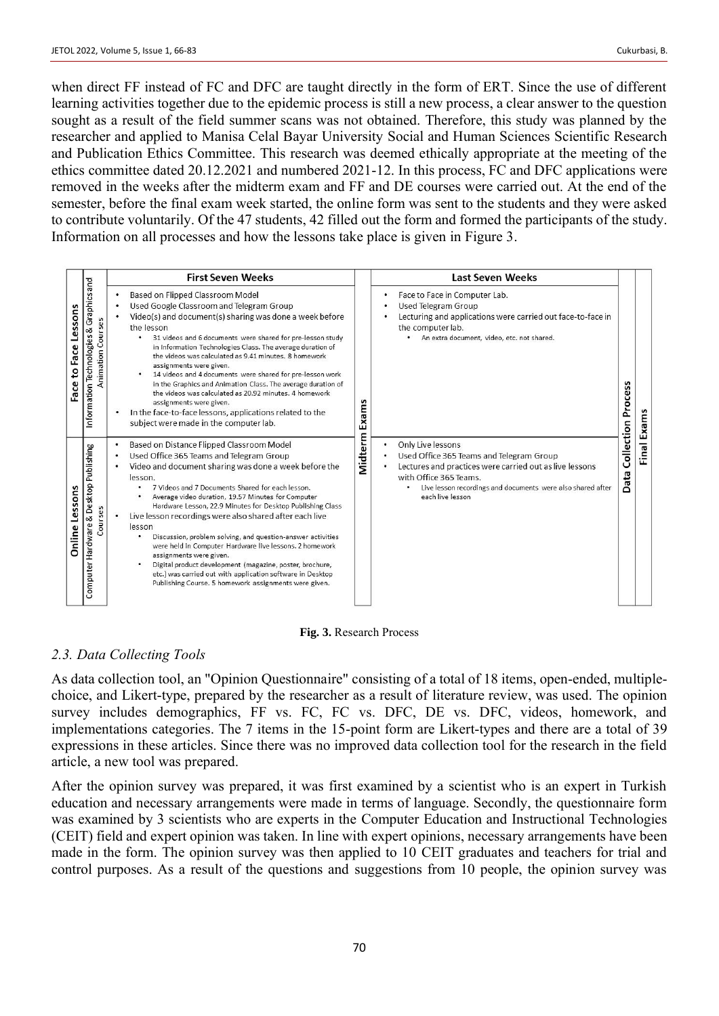when direct FF instead of FC and DFC are taught directly in the form of ERT. Since the use of different learning activities together due to the epidemic process is still a new process, a clear answer to the question sought as a result of the field summer scans was not obtained. Therefore, this study was planned by the researcher and applied to Manisa Celal Bayar University Social and Human Sciences Scientific Research and Publication Ethics Committee. This research was deemed ethically appropriate at the meeting of the ethics committee dated 20.12.2021 and numbered 2021-12. In this process, FC and DFC applications were removed in the weeks after the midterm exam and FF and DE courses were carried out. At the end of the semester, before the final exam week started, the online form was sent to the students and they were asked to contribute voluntarily. Of the 47 students, 42 filled out the form and formed the participants of the study. Information on all processes and how the lessons take place is given in Figure 3.

|                                                                        |                                                                          |                                                                                                                                                                                                                                                                                                                                                                                                                                                                                                                                                                                                                                                                                                                                                | <b>First Seven Weeks</b>                                                                                                                                                                                                                                                                                                                                                                                                                                                                                                                                                                                                                                                                                   |                                                                                                                                                                                                                                            | <b>Last Seven Weeks</b>                                                                                                                                                                |         |       |
|------------------------------------------------------------------------|--------------------------------------------------------------------------|------------------------------------------------------------------------------------------------------------------------------------------------------------------------------------------------------------------------------------------------------------------------------------------------------------------------------------------------------------------------------------------------------------------------------------------------------------------------------------------------------------------------------------------------------------------------------------------------------------------------------------------------------------------------------------------------------------------------------------------------|------------------------------------------------------------------------------------------------------------------------------------------------------------------------------------------------------------------------------------------------------------------------------------------------------------------------------------------------------------------------------------------------------------------------------------------------------------------------------------------------------------------------------------------------------------------------------------------------------------------------------------------------------------------------------------------------------------|--------------------------------------------------------------------------------------------------------------------------------------------------------------------------------------------------------------------------------------------|----------------------------------------------------------------------------------------------------------------------------------------------------------------------------------------|---------|-------|
| Lessons<br>Face<br>9<br>Face                                           | Graphicsand<br><b>Courses</b><br>Information Technologies &<br>Animation |                                                                                                                                                                                                                                                                                                                                                                                                                                                                                                                                                                                                                                                                                                                                                | Based on Flipped Classroom Model<br>Used Google Classroom and Telegram Group<br>Video(s) and document(s) sharing was done a week before<br>the lesson<br>31 videos and 6 documents were shared for pre-lesson study<br>$\bullet$<br>in Information Technologies Class. The average duration of<br>the videos was calculated as 9.41 minutes. 8 homework<br>assignments were given.<br>14 videos and 4 documents were shared for pre-lesson work<br>in the Graphics and Animation Class. The average duration of<br>the videos was calculated as 20.92 minutes. 4 homework<br>assignments were given.<br>In the face-to-face lessons, applications related to the<br>subject were made in the computer lab. | Exams                                                                                                                                                                                                                                      | Face to Face in Computer Lab.<br>Used Telegram Group<br>Lecturing and applications were carried out face-to-face in<br>the computer lab.<br>An extra document, video, etc. not shared. | Process | Exams |
| Computer Hardware & Desktop Publishing<br>Lessons<br>Courses<br>Online | ٠                                                                        | Based on Distance Flipped Classroom Model<br>Used Office 365 Teams and Telegram Group<br>Video and document sharing was done a week before the<br>lesson.<br>7 Videos and 7 Documents Shared for each lesson.<br>Average video duration, 19.57 Minutes for Computer<br>Hardware Lesson, 22.9 Minutes for Desktop Publishing Class<br>Live lesson recordings were also shared after each live<br>lesson<br>Discussion, problem solving, and question-answer activities<br>were held in Computer Hardware live lessons. 2 homework<br>assignments were given.<br>Digital product development (magazine, poster, brochure,<br>etc.) was carried out with application software in Desktop<br>Publishing Course. 5 homework assignments were given. | Midterm                                                                                                                                                                                                                                                                                                                                                                                                                                                                                                                                                                                                                                                                                                    | Only Live lessons<br>٠<br>Used Office 365 Teams and Telegram Group<br>Lectures and practices were carried out as live lessons<br>with Office 365 Teams.<br>Live lesson recordings and documents were also shared after<br>each live lesson | Collection<br>Data                                                                                                                                                                     | Final   |       |

**Fig. 3.** Research Process

# *2.3. Data Collecting Tools*

As data collection tool, an "Opinion Questionnaire" consisting of a total of 18 items, open-ended, multiplechoice, and Likert-type, prepared by the researcher as a result of literature review, was used. The opinion survey includes demographics, FF vs. FC, FC vs. DFC, DE vs. DFC, videos, homework, and implementations categories. The 7 items in the 15-point form are Likert-types and there are a total of 39 expressions in these articles. Since there was no improved data collection tool for the research in the field article, a new tool was prepared.

After the opinion survey was prepared, it was first examined by a scientist who is an expert in Turkish education and necessary arrangements were made in terms of language. Secondly, the questionnaire form was examined by 3 scientists who are experts in the Computer Education and Instructional Technologies (CEIT) field and expert opinion was taken. In line with expert opinions, necessary arrangements have been made in the form. The opinion survey was then applied to 10 CEIT graduates and teachers for trial and control purposes. As a result of the questions and suggestions from 10 people, the opinion survey was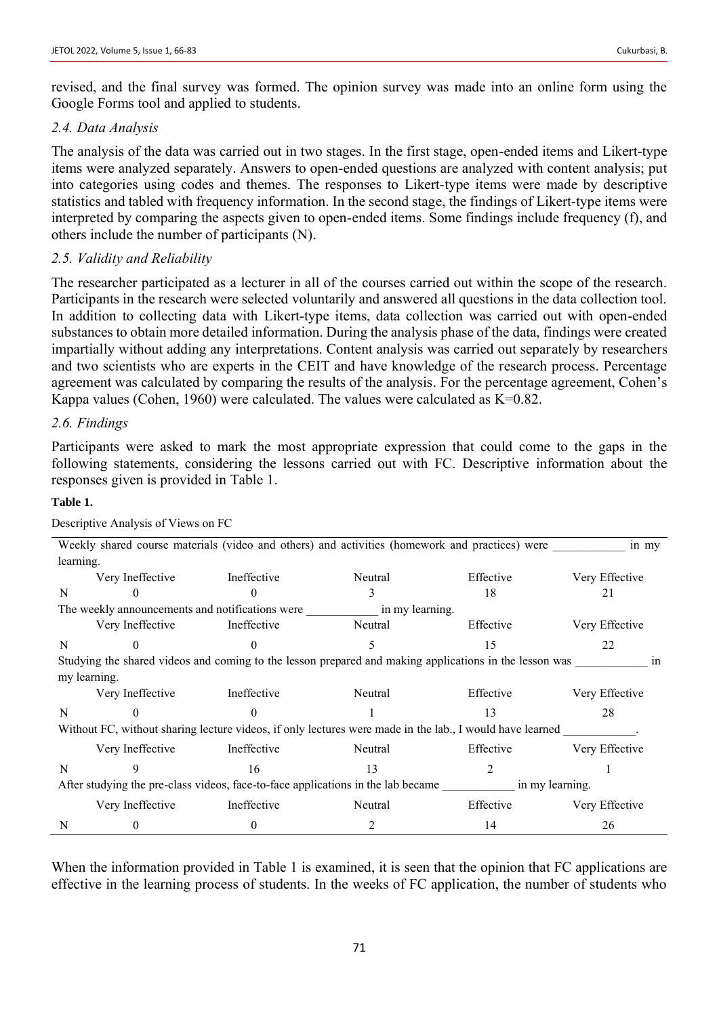revised, and the final survey was formed. The opinion survey was made into an online form using the Google Forms tool and applied to students.

# *2.4. Data Analysis*

The analysis of the data was carried out in two stages. In the first stage, open-ended items and Likert-type items were analyzed separately. Answers to open-ended questions are analyzed with content analysis; put into categories using codes and themes. The responses to Likert-type items were made by descriptive statistics and tabled with frequency information. In the second stage, the findings of Likert-type items were interpreted by comparing the aspects given to open-ended items. Some findings include frequency (f), and others include the number of participants (N).

# *2.5. Validity and Reliability*

The researcher participated as a lecturer in all of the courses carried out within the scope of the research. Participants in the research were selected voluntarily and answered all questions in the data collection tool. In addition to collecting data with Likert-type items, data collection was carried out with open-ended substances to obtain more detailed information. During the analysis phase of the data, findings were created impartially without adding any interpretations. Content analysis was carried out separately by researchers and two scientists who are experts in the CEIT and have knowledge of the research process. Percentage agreement was calculated by comparing the results of the analysis. For the percentage agreement, Cohen's Kappa values (Cohen, 1960) were calculated. The values were calculated as  $K=0.82$ .

# *2.6. Findings*

Participants were asked to mark the most appropriate expression that could come to the gaps in the following statements, considering the lessons carried out with FC. Descriptive information about the responses given is provided in Table 1.

## **Table 1.**

| Descriptive Analysis of Views on FC |
|-------------------------------------|
|-------------------------------------|

|                                                                                                     | Weekly shared course materials (video and others) and activities (homework and practices) were<br>in my |                                                                                                          |         |           |                |  |  |
|-----------------------------------------------------------------------------------------------------|---------------------------------------------------------------------------------------------------------|----------------------------------------------------------------------------------------------------------|---------|-----------|----------------|--|--|
| learning.                                                                                           |                                                                                                         |                                                                                                          |         |           |                |  |  |
|                                                                                                     | Very Ineffective                                                                                        | Ineffective                                                                                              | Neutral | Effective | Very Effective |  |  |
| N                                                                                                   |                                                                                                         |                                                                                                          |         | 18        | 21             |  |  |
| The weekly announcements and notifications were in my learning.                                     |                                                                                                         |                                                                                                          |         |           |                |  |  |
|                                                                                                     | Very Ineffective                                                                                        | Ineffective                                                                                              | Neutral | Effective | Very Effective |  |  |
| N                                                                                                   | 0                                                                                                       | $\Omega$                                                                                                 | 5.      | 15        | 22             |  |  |
|                                                                                                     |                                                                                                         | Studying the shared videos and coming to the lesson prepared and making applications in the lesson was   |         |           | <sub>1n</sub>  |  |  |
|                                                                                                     | my learning.                                                                                            |                                                                                                          |         |           |                |  |  |
|                                                                                                     | Very Ineffective                                                                                        | Ineffective                                                                                              | Neutral | Effective | Very Effective |  |  |
| N                                                                                                   |                                                                                                         |                                                                                                          |         | 13        | 28             |  |  |
|                                                                                                     |                                                                                                         | Without FC, without sharing lecture videos, if only lectures were made in the lab., I would have learned |         |           |                |  |  |
|                                                                                                     | Very Ineffective                                                                                        | Ineffective                                                                                              | Neutral | Effective | Very Effective |  |  |
| N                                                                                                   |                                                                                                         | 16                                                                                                       | 13      | 2         |                |  |  |
| After studying the pre-class videos, face-to-face applications in the lab became<br>in my learning. |                                                                                                         |                                                                                                          |         |           |                |  |  |
|                                                                                                     | Very Ineffective                                                                                        | Ineffective                                                                                              | Neutral | Effective | Very Effective |  |  |
| N                                                                                                   |                                                                                                         | $\theta$                                                                                                 |         | 14        | 26             |  |  |

When the information provided in Table 1 is examined, it is seen that the opinion that FC applications are effective in the learning process of students. In the weeks of FC application, the number of students who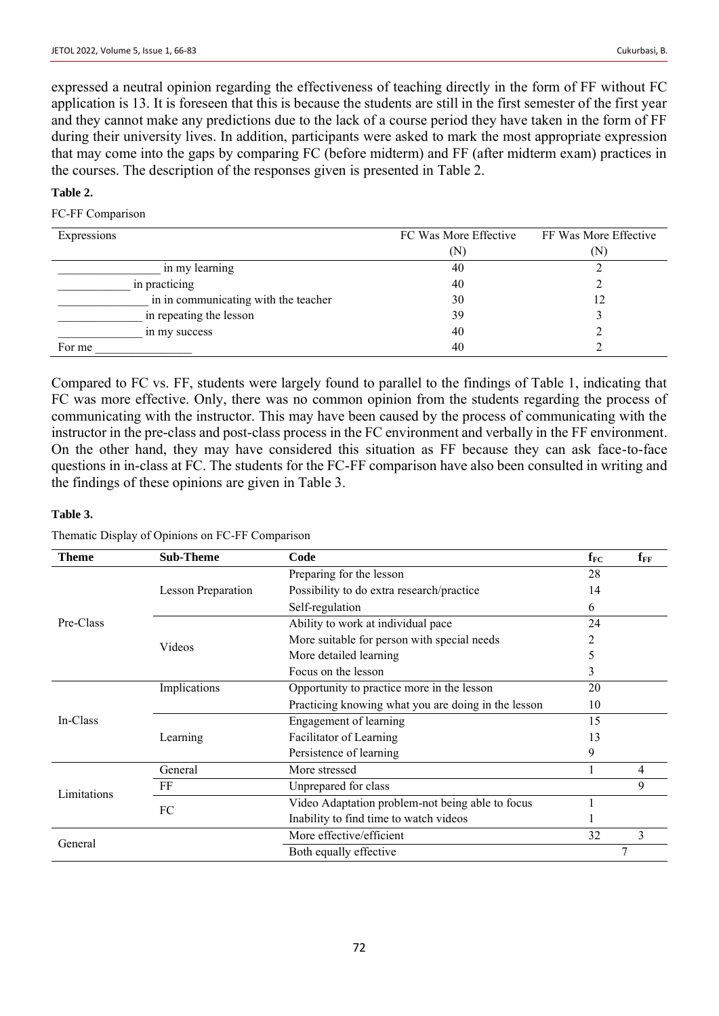expressed a neutral opinion regarding the effectiveness of teaching directly in the form of FF without FC application is 13. It is foreseen that this is because the students are still in the first semester of the first year and they cannot make any predictions due to the lack of a course period they have taken in the form of FF during their university lives. In addition, participants were asked to mark the most appropriate expression that may come into the gaps by comparing FC (before midterm) and FF (after midterm exam) practices in the courses. The description of the responses given is presented in Table 2.

## **Table 2.**

#### FC-FF Comparison

| Expressions                          | FC Was More Effective | FF Was More Effective |
|--------------------------------------|-----------------------|-----------------------|
|                                      | (N)                   | (N)                   |
| in my learning                       | 40                    |                       |
| in practicing                        | 40                    |                       |
| in in communicating with the teacher | 30                    | 12                    |
| in repeating the lesson              | 39                    |                       |
| in my success                        | 40                    |                       |
| For me                               | 40                    |                       |

Compared to FC vs. FF, students were largely found to parallel to the findings of Table 1, indicating that FC was more effective. Only, there was no common opinion from the students regarding the process of communicating with the instructor. This may have been caused by the process of communicating with the instructor in the pre-class and post-class process in the FC environment and verbally in the FF environment. On the other hand, they may have considered this situation as FF because they can ask face-to-face questions in in-class at FC. The students for the FC-FF comparison have also been consulted in writing and the findings of these opinions are given in Table 3.

## **Table 3.**

Thematic Display of Opinions on FC-FF Comparison

| Theme       | <b>Sub-Theme</b>                   | Code                                                | $f_{FC}$ | $f_{FF}$ |
|-------------|------------------------------------|-----------------------------------------------------|----------|----------|
|             |                                    | Preparing for the lesson                            | 28       |          |
|             | <b>Lesson Preparation</b>          | Possibility to do extra research/practice           |          |          |
|             |                                    | Self-regulation                                     | 6        |          |
| Pre-Class   | Ability to work at individual pace |                                                     | 24       |          |
|             | Videos                             | More suitable for person with special needs         | 2        |          |
|             |                                    | More detailed learning                              | 5        |          |
|             |                                    | Focus on the lesson                                 | 3        |          |
|             | Implications                       | Opportunity to practice more in the lesson          | 20       |          |
|             |                                    | Practicing knowing what you are doing in the lesson | 10       |          |
| In-Class    |                                    | <b>Engagement of learning</b>                       | 15       |          |
|             | Learning                           | Facilitator of Learning                             | 13       |          |
|             |                                    | Persistence of learning                             | 9        |          |
|             | General                            | More stressed                                       |          | 4        |
| Limitations | FF                                 | Unprepared for class                                |          | 9        |
|             | FC                                 | Video Adaptation problem-not being able to focus    |          |          |
|             |                                    | Inability to find time to watch videos              |          |          |
|             |                                    | More effective/efficient                            | 32       | 3        |
| General     |                                    | Both equally effective                              |          | 7        |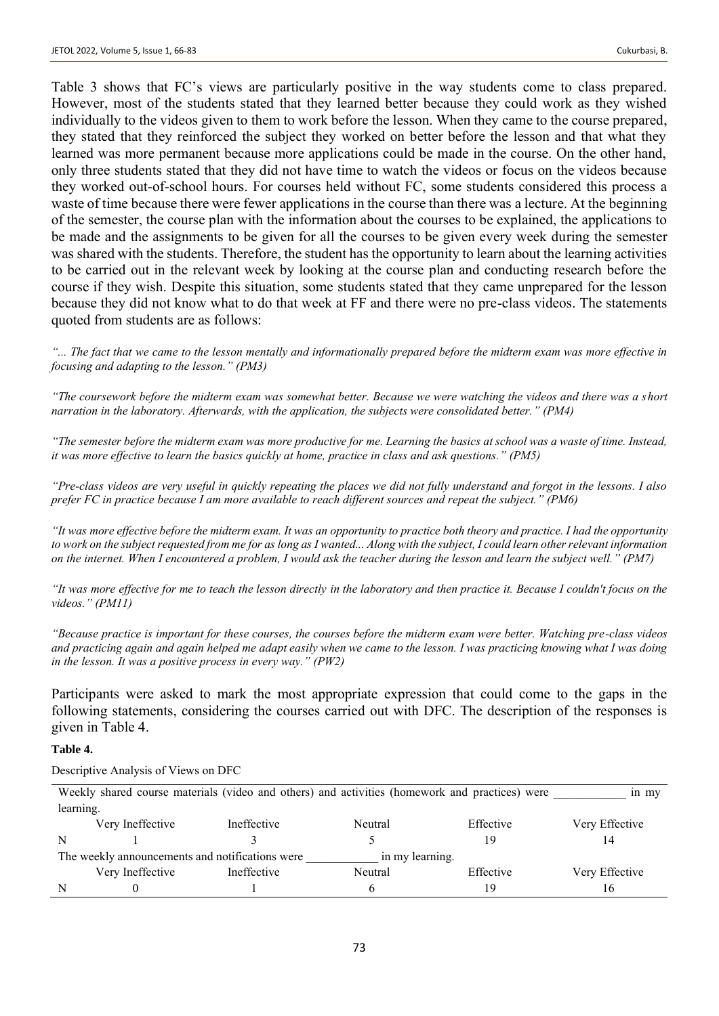Table 3 shows that FC's views are particularly positive in the way students come to class prepared. However, most of the students stated that they learned better because they could work as they wished individually to the videos given to them to work before the lesson. When they came to the course prepared, they stated that they reinforced the subject they worked on better before the lesson and that what they learned was more permanent because more applications could be made in the course. On the other hand, only three students stated that they did not have time to watch the videos or focus on the videos because they worked out-of-school hours. For courses held without FC, some students considered this process a waste of time because there were fewer applications in the course than there was a lecture. At the beginning of the semester, the course plan with the information about the courses to be explained, the applications to be made and the assignments to be given for all the courses to be given every week during the semester was shared with the students. Therefore, the student has the opportunity to learn about the learning activities to be carried out in the relevant week by looking at the course plan and conducting research before the course if they wish. Despite this situation, some students stated that they came unprepared for the lesson because they did not know what to do that week at FF and there were no pre-class videos. The statements quoted from students are as follows:

*"... The fact that we came to the lesson mentally and informationally prepared before the midterm exam was more effective in focusing and adapting to the lesson." (PM3)*

*"The coursework before the midterm exam was somewhat better. Because we were watching the videos and there was a short narration in the laboratory. Afterwards, with the application, the subjects were consolidated better." (PM4)*

*"The semester before the midterm exam was more productive for me. Learning the basics at school was a waste of time. Instead, it was more effective to learn the basics quickly at home, practice in class and ask questions." (PM5)*

*"Pre-class videos are very useful in quickly repeating the places we did not fully understand and forgot in the lessons. I also prefer FC in practice because I am more available to reach different sources and repeat the subject." (PM6)*

*"It was more effective before the midterm exam. It was an opportunity to practice both theory and practice. I had the opportunity to work on the subject requested from me for as long as I wanted... Along with the subject, I could learn other relevant information on the internet. When I encountered a problem, I would ask the teacher during the lesson and learn the subject well." (PM7)*

*"It was more effective for me to teach the lesson directly in the laboratory and then practice it. Because I couldn't focus on the videos." (PM11)*

*"Because practice is important for these courses, the courses before the midterm exam were better. Watching pre-class videos and practicing again and again helped me adapt easily when we came to the lesson. I was practicing knowing what I was doing in the lesson. It was a positive process in every way." (PW2)*

Participants were asked to mark the most appropriate expression that could come to the gaps in the following statements, considering the courses carried out with DFC. The description of the responses is given in Table 4.

#### **Table 4.**

Descriptive Analysis of Views on DFC

|                                                                    | Weekly shared course materials (video and others) and activities (homework and practices) were<br>in my |             |         |           |                |  |  |
|--------------------------------------------------------------------|---------------------------------------------------------------------------------------------------------|-------------|---------|-----------|----------------|--|--|
|                                                                    | learning.                                                                                               |             |         |           |                |  |  |
|                                                                    | Very Ineffective                                                                                        | Ineffective | Neutral | Effective | Very Effective |  |  |
| N                                                                  |                                                                                                         |             |         |           |                |  |  |
| The weekly announcements and notifications were<br>in my learning. |                                                                                                         |             |         |           |                |  |  |
|                                                                    | Very Ineffective                                                                                        | Ineffective | Neutral | Effective | Very Effective |  |  |
| N                                                                  |                                                                                                         |             |         |           | 16             |  |  |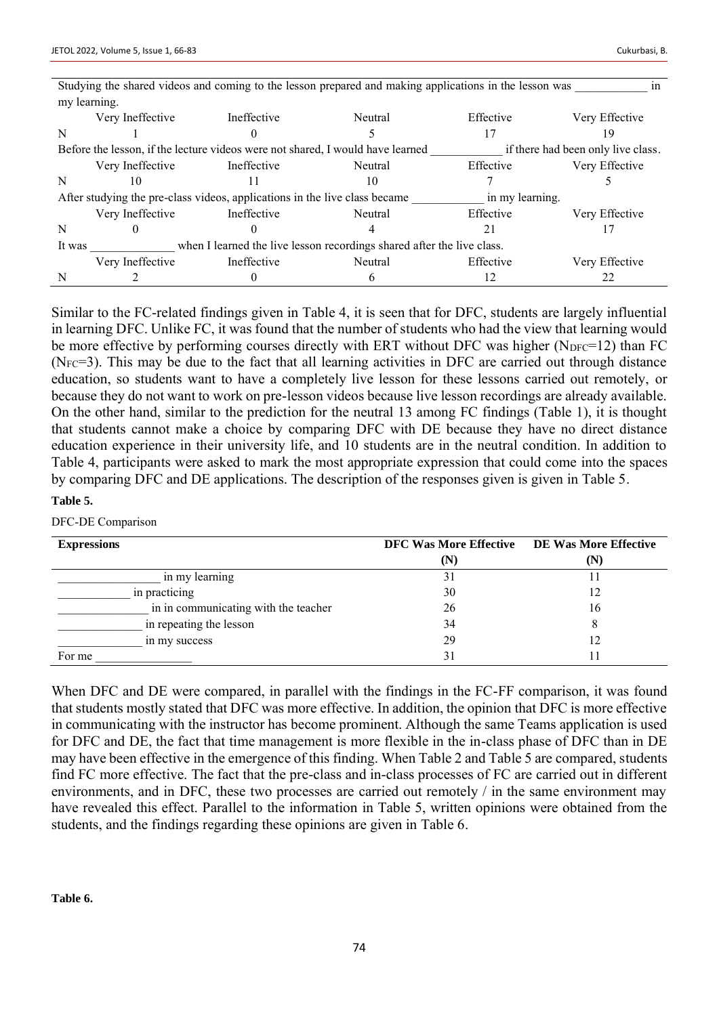|        | Studying the shared videos and coming to the lesson prepared and making applications in the lesson was<br>1n |                                                                                |         |                 |                                    |  |
|--------|--------------------------------------------------------------------------------------------------------------|--------------------------------------------------------------------------------|---------|-----------------|------------------------------------|--|
|        | my learning.                                                                                                 |                                                                                |         |                 |                                    |  |
|        | Very Ineffective                                                                                             | Ineffective                                                                    | Neutral | Effective       | Very Effective                     |  |
| N      |                                                                                                              |                                                                                |         | 17              | 19                                 |  |
|        |                                                                                                              | Before the lesson, if the lecture videos were not shared, I would have learned |         |                 | if there had been only live class. |  |
|        | Very Ineffective                                                                                             | Ineffective                                                                    | Neutral | Effective       | Very Effective                     |  |
| N      | 10                                                                                                           | $\perp$                                                                        | 10      |                 |                                    |  |
|        |                                                                                                              | After studying the pre-class videos, applications in the live class became     |         | in my learning. |                                    |  |
|        | Very Ineffective                                                                                             | Ineffective                                                                    | Neutral | Effective       | Very Effective                     |  |
| N      |                                                                                                              |                                                                                |         | 21              |                                    |  |
| It was | when I learned the live lesson recordings shared after the live class.                                       |                                                                                |         |                 |                                    |  |
|        | Very Ineffective                                                                                             | Ineffective                                                                    | Neutral | Effective       | Very Effective                     |  |
| N      |                                                                                                              |                                                                                |         |                 |                                    |  |

Similar to the FC-related findings given in Table 4, it is seen that for DFC, students are largely influential in learning DFC. Unlike FC, it was found that the number of students who had the view that learning would be more effective by performing courses directly with ERT without DFC was higher ( $N_{DFC}=12$ ) than FC  $(N_{\text{FC}}=3)$ . This may be due to the fact that all learning activities in DFC are carried out through distance education, so students want to have a completely live lesson for these lessons carried out remotely, or because they do not want to work on pre-lesson videos because live lesson recordings are already available. On the other hand, similar to the prediction for the neutral 13 among FC findings (Table 1), it is thought that students cannot make a choice by comparing DFC with DE because they have no direct distance education experience in their university life, and 10 students are in the neutral condition. In addition to Table 4, participants were asked to mark the most appropriate expression that could come into the spaces by comparing DFC and DE applications. The description of the responses given is given in Table 5.

#### **Table 5.**

#### DFC-DE Comparison

| <b>Expressions</b>                   | DFC Was More Effective DE Was More Effective |     |
|--------------------------------------|----------------------------------------------|-----|
|                                      | (N)                                          | (N) |
| in my learning                       | 31                                           |     |
| in practicing                        | 30                                           | 12  |
| in in communicating with the teacher | 26                                           | 16  |
| in repeating the lesson              | 34                                           | 8   |
| in my success                        | 29                                           | 12  |
| For me                               | 31                                           |     |

When DFC and DE were compared, in parallel with the findings in the FC-FF comparison, it was found that students mostly stated that DFC was more effective. In addition, the opinion that DFC is more effective in communicating with the instructor has become prominent. Although the same Teams application is used for DFC and DE, the fact that time management is more flexible in the in-class phase of DFC than in DE may have been effective in the emergence of this finding. When Table 2 and Table 5 are compared, students find FC more effective. The fact that the pre-class and in-class processes of FC are carried out in different environments, and in DFC, these two processes are carried out remotely / in the same environment may have revealed this effect. Parallel to the information in Table 5, written opinions were obtained from the students, and the findings regarding these opinions are given in Table 6.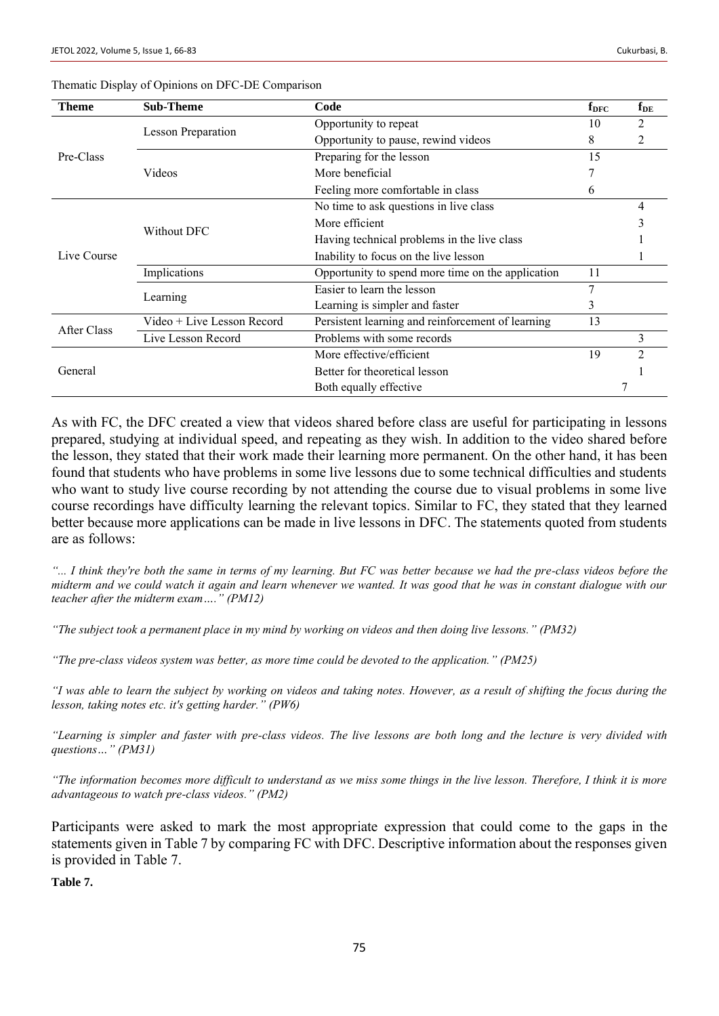| Theme       | <b>Sub-Theme</b>           | Code                                              | $f_{\rm DFC}$ | $f_{DE}$       |
|-------------|----------------------------|---------------------------------------------------|---------------|----------------|
|             | <b>Lesson Preparation</b>  | Opportunity to repeat                             | 10            | 2              |
|             |                            | Opportunity to pause, rewind videos               | 8             |                |
| Pre-Class   |                            | Preparing for the lesson                          | 15            |                |
|             | Videos                     | More beneficial                                   |               |                |
|             |                            | Feeling more comfortable in class                 | 6             |                |
|             |                            | No time to ask questions in live class            |               | 4              |
|             | Without DFC                | More efficient                                    |               |                |
|             |                            | Having technical problems in the live class       |               |                |
| Live Course |                            | Inability to focus on the live lesson             |               |                |
|             | Implications               | Opportunity to spend more time on the application |               |                |
|             | Learning                   | Easier to learn the lesson                        |               |                |
|             |                            | Learning is simpler and faster                    | 3             |                |
| After Class | Video + Live Lesson Record | Persistent learning and reinforcement of learning |               |                |
|             | Live Lesson Record         | Problems with some records                        |               | 3              |
|             |                            | More effective/efficient                          | 19            | $\mathfrak{D}$ |
| General     |                            | Better for theoretical lesson                     |               |                |
|             |                            | Both equally effective                            |               |                |

#### Thematic Display of Opinions on DFC-DE Comparison

As with FC, the DFC created a view that videos shared before class are useful for participating in lessons prepared, studying at individual speed, and repeating as they wish. In addition to the video shared before the lesson, they stated that their work made their learning more permanent. On the other hand, it has been found that students who have problems in some live lessons due to some technical difficulties and students who want to study live course recording by not attending the course due to visual problems in some live course recordings have difficulty learning the relevant topics. Similar to FC, they stated that they learned better because more applications can be made in live lessons in DFC. The statements quoted from students are as follows:

*"... I think they're both the same in terms of my learning. But FC was better because we had the pre-class videos before the midterm and we could watch it again and learn whenever we wanted. It was good that he was in constant dialogue with our teacher after the midterm exam…." (PM12)*

*"The subject took a permanent place in my mind by working on videos and then doing live lessons." (PM32)*

*"The pre-class videos system was better, as more time could be devoted to the application." (PM25)*

*"I was able to learn the subject by working on videos and taking notes. However, as a result of shifting the focus during the lesson, taking notes etc. it's getting harder." (PW6)*

*"Learning is simpler and faster with pre-class videos. The live lessons are both long and the lecture is very divided with questions…" (PM31)*

*"The information becomes more difficult to understand as we miss some things in the live lesson. Therefore, I think it is more advantageous to watch pre-class videos." (PM2)*

Participants were asked to mark the most appropriate expression that could come to the gaps in the statements given in Table 7 by comparing FC with DFC. Descriptive information about the responses given is provided in Table 7.

**Table 7.**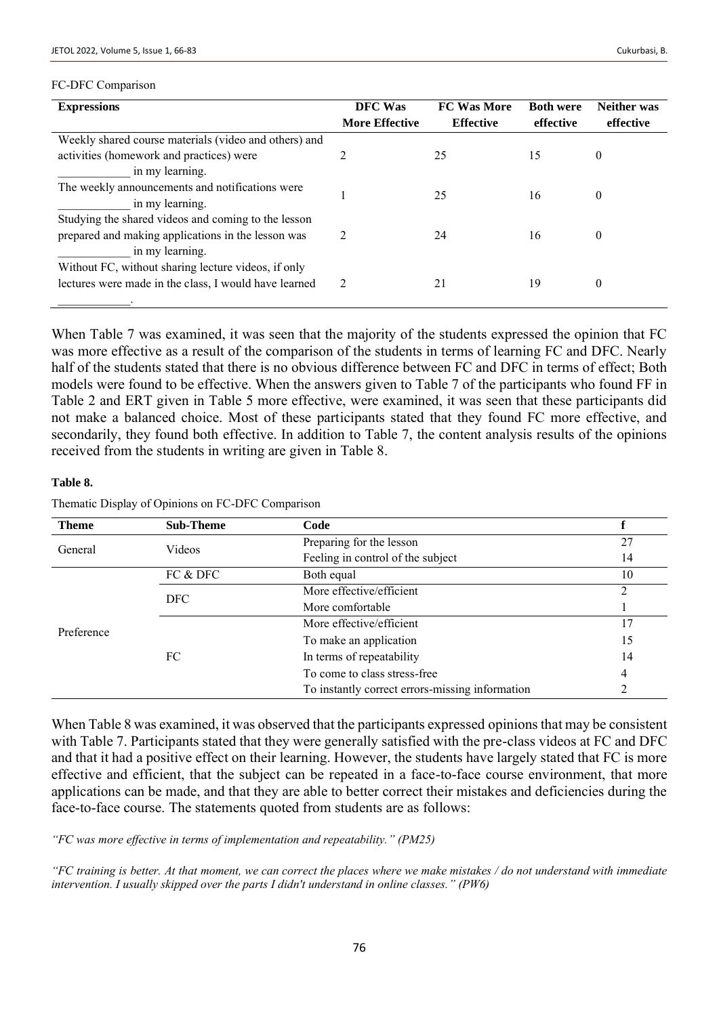#### FC-DFC Comparison

| <b>Expressions</b>                                    | DFC Was               | <b>FC Was More</b> | <b>Both were</b> | <b>Neither was</b> |
|-------------------------------------------------------|-----------------------|--------------------|------------------|--------------------|
|                                                       | <b>More Effective</b> | <b>Effective</b>   | effective        | effective          |
| Weekly shared course materials (video and others) and |                       |                    |                  |                    |
| activities (homework and practices) were              |                       | 25                 | 15               | 0                  |
| in my learning.                                       |                       |                    |                  |                    |
| The weekly announcements and notifications were       |                       | 25                 | 16               | 0                  |
| in my learning.                                       |                       |                    |                  |                    |
| Studying the shared videos and coming to the lesson   |                       |                    |                  |                    |
| prepared and making applications in the lesson was    |                       | 24                 | 16               | 0                  |
| in my learning.                                       |                       |                    |                  |                    |
| Without FC, without sharing lecture videos, if only   |                       |                    |                  |                    |
| lectures were made in the class, I would have learned | 2                     | 21                 | 19               | $\boldsymbol{0}$   |
|                                                       |                       |                    |                  |                    |

When Table 7 was examined, it was seen that the majority of the students expressed the opinion that FC was more effective as a result of the comparison of the students in terms of learning FC and DFC. Nearly half of the students stated that there is no obvious difference between FC and DFC in terms of effect; Both models were found to be effective. When the answers given to Table 7 of the participants who found FF in Table 2 and ERT given in Table 5 more effective, were examined, it was seen that these participants did not make a balanced choice. Most of these participants stated that they found FC more effective, and secondarily, they found both effective. In addition to Table 7, the content analysis results of the opinions received from the students in writing are given in Table 8.

#### **Table 8.**

|  | Thematic Display of Opinions on FC-DFC Comparison |  |
|--|---------------------------------------------------|--|
|  |                                                   |  |

| <b>Theme</b> | <b>Sub-Theme</b>                                     | Code                                            |    |
|--------------|------------------------------------------------------|-------------------------------------------------|----|
| General      | Videos                                               | Preparing for the lesson                        | 27 |
|              |                                                      | Feeling in control of the subject               | 14 |
|              | FC & DFC                                             | Both equal                                      | 10 |
|              | More effective/efficient<br>DFC.<br>More comfortable |                                                 | ∍  |
|              |                                                      |                                                 |    |
| Preference   |                                                      | More effective/efficient                        | 17 |
|              |                                                      | To make an application                          | 15 |
|              | FC                                                   | In terms of repeatability                       | 14 |
|              |                                                      | To come to class stress-free                    | 4  |
|              |                                                      | To instantly correct errors-missing information |    |

When Table 8 was examined, it was observed that the participants expressed opinions that may be consistent with Table 7. Participants stated that they were generally satisfied with the pre-class videos at FC and DFC and that it had a positive effect on their learning. However, the students have largely stated that FC is more effective and efficient, that the subject can be repeated in a face-to-face course environment, that more applications can be made, and that they are able to better correct their mistakes and deficiencies during the face-to-face course. The statements quoted from students are as follows:

*"FC was more effective in terms of implementation and repeatability." (PM25)*

*"FC training is better. At that moment, we can correct the places where we make mistakes / do not understand with immediate intervention. I usually skipped over the parts I didn't understand in online classes." (PW6)*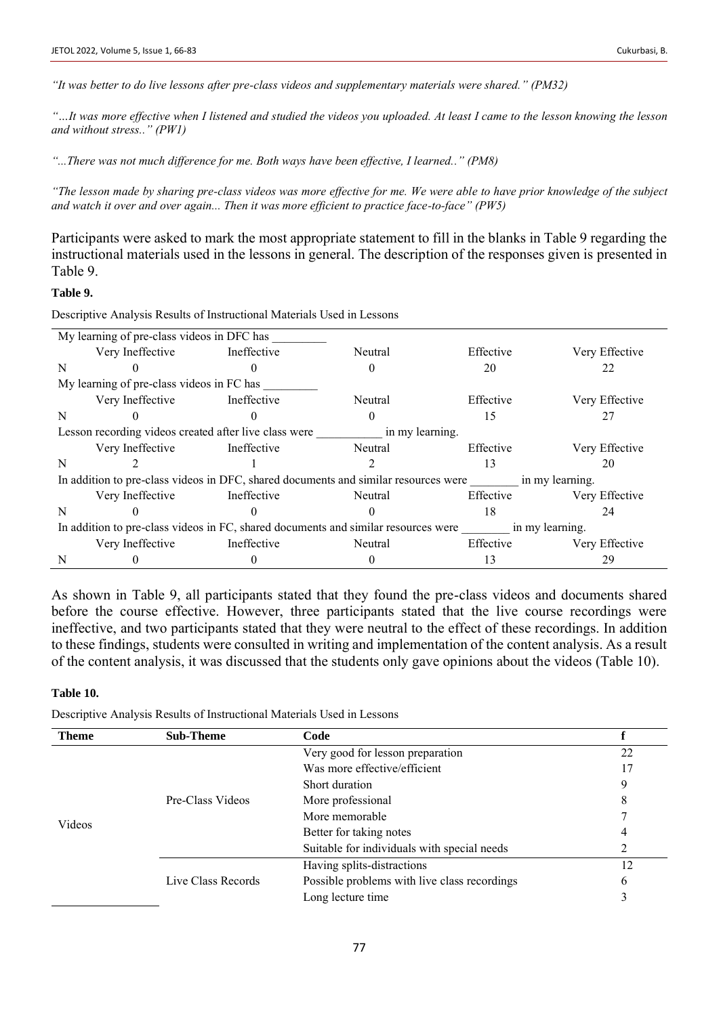*"It was better to do live lessons after pre-class videos and supplementary materials were shared." (PM32)*

*"…It was more effective when I listened and studied the videos you uploaded. At least I came to the lesson knowing the lesson and without stress.." (PW1)*

*"...There was not much difference for me. Both ways have been effective, I learned.." (PM8)*

*"The lesson made by sharing pre-class videos was more effective for me. We were able to have prior knowledge of the subject and watch it over and over again... Then it was more efficient to practice face-to-face" (PW5)*

Participants were asked to mark the most appropriate statement to fill in the blanks in Table 9 regarding the instructional materials used in the lessons in general. The description of the responses given is presented in Table 9.

## **Table 9.**

Descriptive Analysis Results of Instructional Materials Used in Lessons

|                                                                                                       | My learning of pre-class videos in DFC has                                                             |                                                       |                 |           |                |
|-------------------------------------------------------------------------------------------------------|--------------------------------------------------------------------------------------------------------|-------------------------------------------------------|-----------------|-----------|----------------|
|                                                                                                       | Very Ineffective                                                                                       | Ineffective                                           | Neutral         | Effective | Very Effective |
| N                                                                                                     |                                                                                                        |                                                       |                 | 20        | 22             |
|                                                                                                       | My learning of pre-class videos in FC has                                                              |                                                       |                 |           |                |
|                                                                                                       | Very Ineffective                                                                                       | Ineffective                                           | Neutral         | Effective | Very Effective |
| N                                                                                                     |                                                                                                        |                                                       |                 | 15        | 27             |
|                                                                                                       |                                                                                                        | Lesson recording videos created after live class were | in my learning. |           |                |
|                                                                                                       | Very Ineffective                                                                                       | Ineffective                                           | Neutral         | Effective | Very Effective |
| N                                                                                                     |                                                                                                        |                                                       |                 | 13        | 20             |
|                                                                                                       | In addition to pre-class videos in DFC, shared documents and similar resources were<br>in my learning. |                                                       |                 |           |                |
|                                                                                                       | Very Ineffective                                                                                       | Ineffective                                           | Neutral         | Effective | Very Effective |
| N                                                                                                     |                                                                                                        |                                                       |                 | 18        | 24             |
| In addition to pre-class videos in FC, shared documents and similar resources were<br>in my learning. |                                                                                                        |                                                       |                 |           |                |
|                                                                                                       | Very Ineffective                                                                                       | Ineffective                                           | Neutral         | Effective | Very Effective |
| N                                                                                                     |                                                                                                        |                                                       |                 | 13        | 29             |

As shown in Table 9, all participants stated that they found the pre-class videos and documents shared before the course effective. However, three participants stated that the live course recordings were ineffective, and two participants stated that they were neutral to the effect of these recordings. In addition to these findings, students were consulted in writing and implementation of the content analysis. As a result of the content analysis, it was discussed that the students only gave opinions about the videos (Table 10).

#### **Table 10.**

Descriptive Analysis Results of Instructional Materials Used in Lessons

| <b>Theme</b> | <b>Sub-Theme</b>                                                                                                                                                                                                        | Code                                         |    |
|--------------|-------------------------------------------------------------------------------------------------------------------------------------------------------------------------------------------------------------------------|----------------------------------------------|----|
|              | Very good for lesson preparation<br>Was more effective/efficient<br>Short duration<br>Pre-Class Videos<br>More professional<br>More memorable<br>Better for taking notes<br>Suitable for individuals with special needs |                                              | 22 |
|              |                                                                                                                                                                                                                         |                                              | 17 |
|              |                                                                                                                                                                                                                         |                                              | 9  |
|              |                                                                                                                                                                                                                         |                                              | 8  |
|              |                                                                                                                                                                                                                         |                                              |    |
| Videos       |                                                                                                                                                                                                                         |                                              | 4  |
|              |                                                                                                                                                                                                                         | 2                                            |    |
|              |                                                                                                                                                                                                                         | Having splits-distractions                   | 12 |
|              | Live Class Records                                                                                                                                                                                                      | Possible problems with live class recordings | 6  |
|              |                                                                                                                                                                                                                         | Long lecture time                            |    |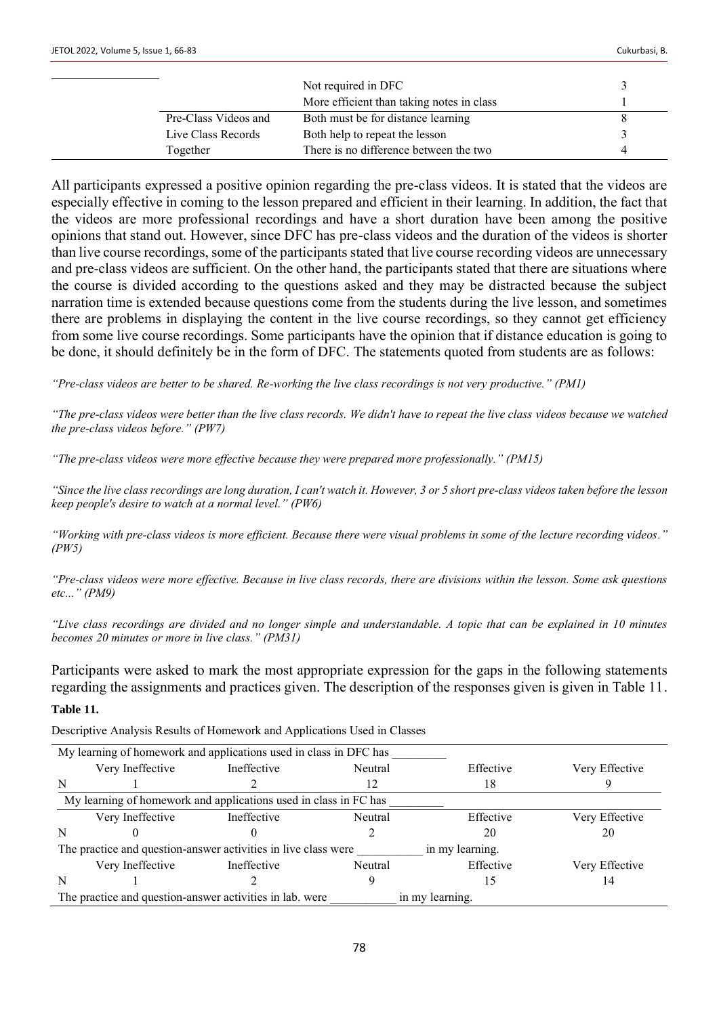|                      | Not required in DFC                       |   |
|----------------------|-------------------------------------------|---|
|                      | More efficient than taking notes in class |   |
| Pre-Class Videos and | Both must be for distance learning        |   |
| Live Class Records   | Both help to repeat the lesson            |   |
| Together             | There is no difference between the two    | 4 |

All participants expressed a positive opinion regarding the pre-class videos. It is stated that the videos are especially effective in coming to the lesson prepared and efficient in their learning. In addition, the fact that the videos are more professional recordings and have a short duration have been among the positive opinions that stand out. However, since DFC has pre-class videos and the duration of the videos is shorter than live course recordings, some of the participants stated that live course recording videos are unnecessary and pre-class videos are sufficient. On the other hand, the participants stated that there are situations where the course is divided according to the questions asked and they may be distracted because the subject narration time is extended because questions come from the students during the live lesson, and sometimes there are problems in displaying the content in the live course recordings, so they cannot get efficiency from some live course recordings. Some participants have the opinion that if distance education is going to be done, it should definitely be in the form of DFC. The statements quoted from students are as follows:

*"Pre-class videos are better to be shared. Re-working the live class recordings is not very productive." (PM1)*

*"The pre-class videos were better than the live class records. We didn't have to repeat the live class videos because we watched the pre-class videos before." (PW7)*

*"The pre-class videos were more effective because they were prepared more professionally." (PM15)*

*"Since the live class recordings are long duration, I can't watch it. However, 3 or 5 short pre-class videos taken before the lesson keep people's desire to watch at a normal level." (PW6)*

*"Working with pre-class videos is more efficient. Because there were visual problems in some of the lecture recording videos." (PW5)*

*"Pre-class videos were more effective. Because in live class records, there are divisions within the lesson. Some ask questions etc..." (PM9)*

*"Live class recordings are divided and no longer simple and understandable. A topic that can be explained in 10 minutes becomes 20 minutes or more in live class." (PM31)*

Participants were asked to mark the most appropriate expression for the gaps in the following statements regarding the assignments and practices given. The description of the responses given is given in Table 11.

#### **Table 11.**

Descriptive Analysis Results of Homework and Applications Used in Classes

| My learning of homework and applications used in class in DFC has                 |                  |                                                                  |         |           |                |
|-----------------------------------------------------------------------------------|------------------|------------------------------------------------------------------|---------|-----------|----------------|
|                                                                                   | Very Ineffective | Ineffective                                                      | Neutral | Effective | Very Effective |
| N                                                                                 |                  |                                                                  |         | 18        |                |
|                                                                                   |                  | My learning of homework and applications used in class in FC has |         |           |                |
|                                                                                   | Very Ineffective | Ineffective                                                      | Neutral | Effective | Very Effective |
| N                                                                                 |                  |                                                                  |         | 20        | 20             |
| The practice and question-answer activities in live class were<br>in my learning. |                  |                                                                  |         |           |                |
|                                                                                   | Very Ineffective | Ineffective                                                      | Neutral | Effective | Very Effective |
| N                                                                                 |                  |                                                                  |         | 15        | 14             |
| The practice and question-answer activities in lab. were<br>in my learning.       |                  |                                                                  |         |           |                |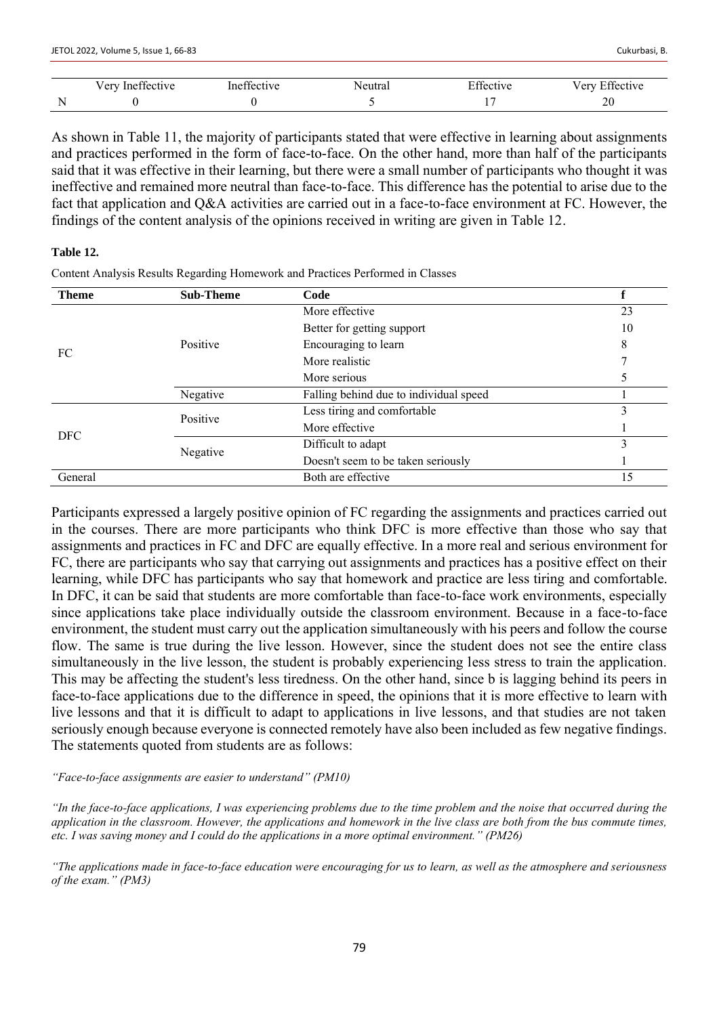As shown in Table 11, the majority of participants stated that were effective in learning about assignments and practices performed in the form of face-to-face. On the other hand, more than half of the participants said that it was effective in their learning, but there were a small number of participants who thought it was ineffective and remained more neutral than face-to-face. This difference has the potential to arise due to the fact that application and Q&A activities are carried out in a face-to-face environment at FC. However, the findings of the content analysis of the opinions received in writing are given in Table 12.

## **Table 12.**

Content Analysis Results Regarding Homework and Practices Performed in Classes

| <b>Theme</b>                                                                                                                                                                                                                                                          | <b>Sub-Theme</b> | Code                                   |    |
|-----------------------------------------------------------------------------------------------------------------------------------------------------------------------------------------------------------------------------------------------------------------------|------------------|----------------------------------------|----|
|                                                                                                                                                                                                                                                                       |                  | More effective                         | 23 |
| Better for getting support<br>Positive<br>Encouraging to learn<br>FC<br>More realistic<br>More serious<br>Negative<br>Less tiring and comfortable<br>Positive<br>More effective<br><b>DFC</b><br>Difficult to adapt<br>Negative<br>Doesn't seem to be taken seriously |                  | 10                                     |    |
|                                                                                                                                                                                                                                                                       |                  |                                        | 8  |
|                                                                                                                                                                                                                                                                       |                  |                                        |    |
|                                                                                                                                                                                                                                                                       |                  |                                        |    |
|                                                                                                                                                                                                                                                                       |                  | Falling behind due to individual speed |    |
|                                                                                                                                                                                                                                                                       |                  |                                        | 3  |
|                                                                                                                                                                                                                                                                       |                  |                                        |    |
|                                                                                                                                                                                                                                                                       |                  |                                        |    |
|                                                                                                                                                                                                                                                                       |                  |                                        |    |
| General                                                                                                                                                                                                                                                               |                  | Both are effective                     | 15 |

Participants expressed a largely positive opinion of FC regarding the assignments and practices carried out in the courses. There are more participants who think DFC is more effective than those who say that assignments and practices in FC and DFC are equally effective. In a more real and serious environment for FC, there are participants who say that carrying out assignments and practices has a positive effect on their learning, while DFC has participants who say that homework and practice are less tiring and comfortable. In DFC, it can be said that students are more comfortable than face-to-face work environments, especially since applications take place individually outside the classroom environment. Because in a face-to-face environment, the student must carry out the application simultaneously with his peers and follow the course flow. The same is true during the live lesson. However, since the student does not see the entire class simultaneously in the live lesson, the student is probably experiencing less stress to train the application. This may be affecting the student's less tiredness. On the other hand, since b is lagging behind its peers in face-to-face applications due to the difference in speed, the opinions that it is more effective to learn with live lessons and that it is difficult to adapt to applications in live lessons, and that studies are not taken seriously enough because everyone is connected remotely have also been included as few negative findings. The statements quoted from students are as follows:

*"Face-to-face assignments are easier to understand" (PM10)*

*"In the face-to-face applications, I was experiencing problems due to the time problem and the noise that occurred during the application in the classroom. However, the applications and homework in the live class are both from the bus commute times, etc. I was saving money and I could do the applications in a more optimal environment." (PM26)*

*"The applications made in face-to-face education were encouraging for us to learn, as well as the atmosphere and seriousness of the exam." (PM3)*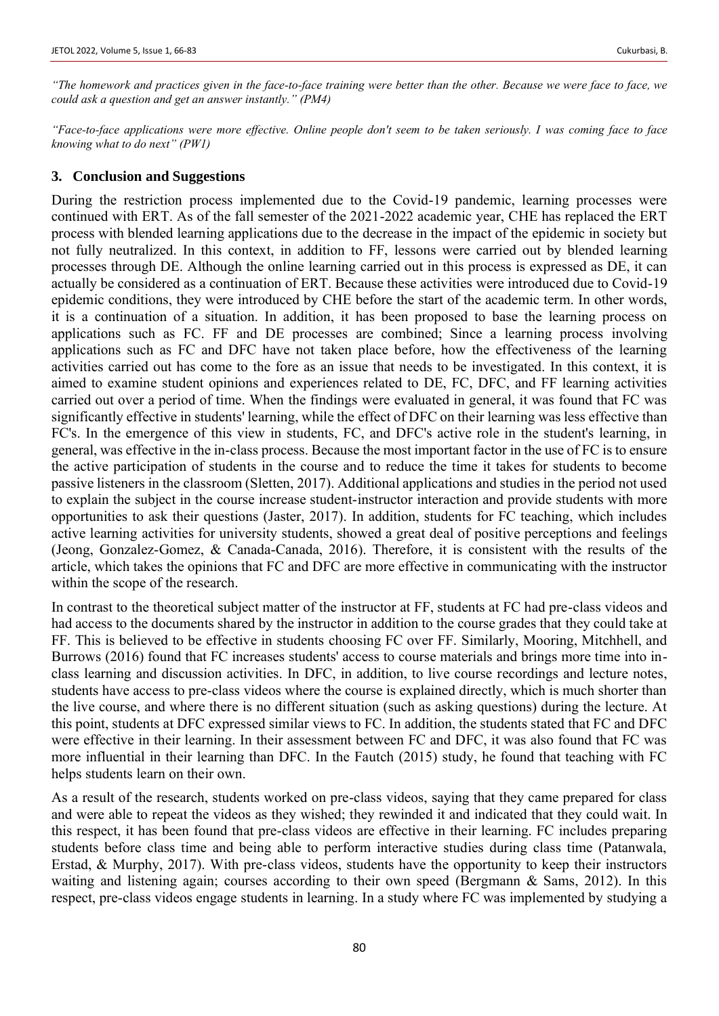*"The homework and practices given in the face-to-face training were better than the other. Because we were face to face, we could ask a question and get an answer instantly." (PM4)*

*"Face-to-face applications were more effective. Online people don't seem to be taken seriously. I was coming face to face knowing what to do next" (PW1)*

# **3. Conclusion and Suggestions**

During the restriction process implemented due to the Covid-19 pandemic, learning processes were continued with ERT. As of the fall semester of the 2021-2022 academic year, CHE has replaced the ERT process with blended learning applications due to the decrease in the impact of the epidemic in society but not fully neutralized. In this context, in addition to FF, lessons were carried out by blended learning processes through DE. Although the online learning carried out in this process is expressed as DE, it can actually be considered as a continuation of ERT. Because these activities were introduced due to Covid-19 epidemic conditions, they were introduced by CHE before the start of the academic term. In other words, it is a continuation of a situation. In addition, it has been proposed to base the learning process on applications such as FC. FF and DE processes are combined; Since a learning process involving applications such as FC and DFC have not taken place before, how the effectiveness of the learning activities carried out has come to the fore as an issue that needs to be investigated. In this context, it is aimed to examine student opinions and experiences related to DE, FC, DFC, and FF learning activities carried out over a period of time. When the findings were evaluated in general, it was found that FC was significantly effective in students' learning, while the effect of DFC on their learning was less effective than FC's. In the emergence of this view in students, FC, and DFC's active role in the student's learning, in general, was effective in the in-class process. Because the most important factor in the use of FC is to ensure the active participation of students in the course and to reduce the time it takes for students to become passive listeners in the classroom (Sletten, 2017). Additional applications and studies in the period not used to explain the subject in the course increase student-instructor interaction and provide students with more opportunities to ask their questions (Jaster, 2017). In addition, students for FC teaching, which includes active learning activities for university students, showed a great deal of positive perceptions and feelings (Jeong, Gonzalez-Gomez, & Canada-Canada, 2016). Therefore, it is consistent with the results of the article, which takes the opinions that FC and DFC are more effective in communicating with the instructor within the scope of the research.

In contrast to the theoretical subject matter of the instructor at FF, students at FC had pre-class videos and had access to the documents shared by the instructor in addition to the course grades that they could take at FF. This is believed to be effective in students choosing FC over FF. Similarly, Mooring, Mitchhell, and Burrows (2016) found that FC increases students' access to course materials and brings more time into inclass learning and discussion activities. In DFC, in addition, to live course recordings and lecture notes, students have access to pre-class videos where the course is explained directly, which is much shorter than the live course, and where there is no different situation (such as asking questions) during the lecture. At this point, students at DFC expressed similar views to FC. In addition, the students stated that FC and DFC were effective in their learning. In their assessment between FC and DFC, it was also found that FC was more influential in their learning than DFC. In the Fautch (2015) study, he found that teaching with FC helps students learn on their own.

As a result of the research, students worked on pre-class videos, saying that they came prepared for class and were able to repeat the videos as they wished; they rewinded it and indicated that they could wait. In this respect, it has been found that pre-class videos are effective in their learning. FC includes preparing students before class time and being able to perform interactive studies during class time (Patanwala, Erstad, & Murphy, 2017). With pre-class videos, students have the opportunity to keep their instructors waiting and listening again; courses according to their own speed (Bergmann & Sams, 2012). In this respect, pre-class videos engage students in learning. In a study where FC was implemented by studying a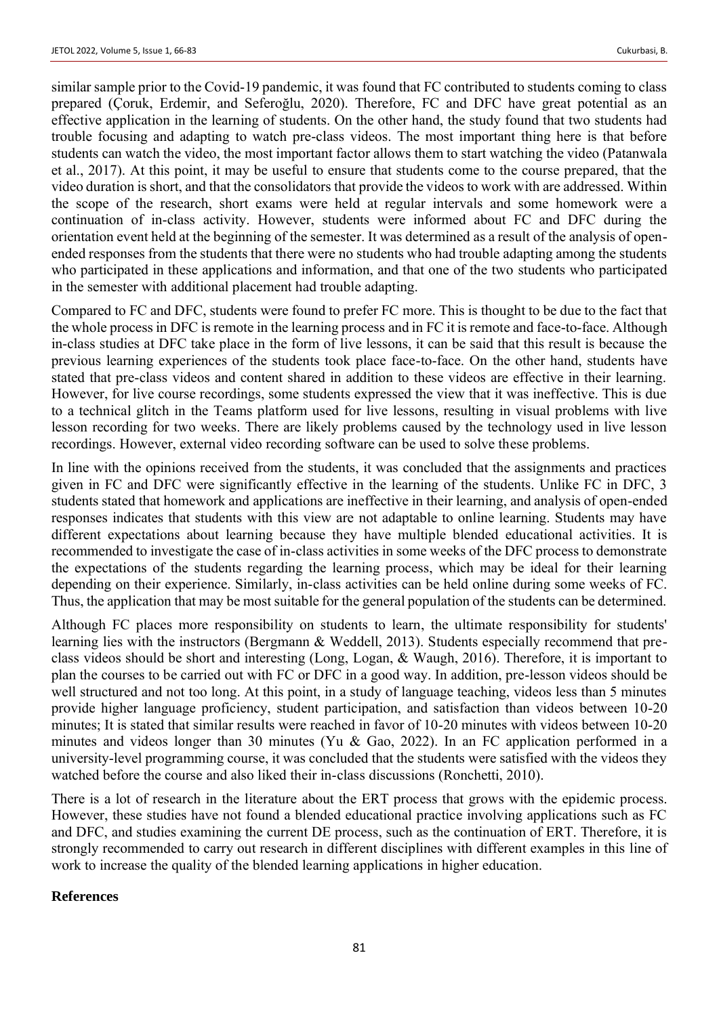similar sample prior to the Covid-19 pandemic, it was found that FC contributed to students coming to class prepared (Çoruk, Erdemir, and Seferoğlu, 2020). Therefore, FC and DFC have great potential as an effective application in the learning of students. On the other hand, the study found that two students had trouble focusing and adapting to watch pre-class videos. The most important thing here is that before students can watch the video, the most important factor allows them to start watching the video (Patanwala et al., 2017). At this point, it may be useful to ensure that students come to the course prepared, that the video duration is short, and that the consolidators that provide the videos to work with are addressed. Within the scope of the research, short exams were held at regular intervals and some homework were a continuation of in-class activity. However, students were informed about FC and DFC during the orientation event held at the beginning of the semester. It was determined as a result of the analysis of openended responses from the students that there were no students who had trouble adapting among the students who participated in these applications and information, and that one of the two students who participated in the semester with additional placement had trouble adapting.

Compared to FC and DFC, students were found to prefer FC more. This is thought to be due to the fact that the whole process in DFC is remote in the learning process and in FC it is remote and face-to-face. Although in-class studies at DFC take place in the form of live lessons, it can be said that this result is because the previous learning experiences of the students took place face-to-face. On the other hand, students have stated that pre-class videos and content shared in addition to these videos are effective in their learning. However, for live course recordings, some students expressed the view that it was ineffective. This is due to a technical glitch in the Teams platform used for live lessons, resulting in visual problems with live lesson recording for two weeks. There are likely problems caused by the technology used in live lesson recordings. However, external video recording software can be used to solve these problems.

In line with the opinions received from the students, it was concluded that the assignments and practices given in FC and DFC were significantly effective in the learning of the students. Unlike FC in DFC, 3 students stated that homework and applications are ineffective in their learning, and analysis of open-ended responses indicates that students with this view are not adaptable to online learning. Students may have different expectations about learning because they have multiple blended educational activities. It is recommended to investigate the case of in-class activities in some weeks of the DFC process to demonstrate the expectations of the students regarding the learning process, which may be ideal for their learning depending on their experience. Similarly, in-class activities can be held online during some weeks of FC. Thus, the application that may be most suitable for the general population of the students can be determined.

Although FC places more responsibility on students to learn, the ultimate responsibility for students' learning lies with the instructors (Bergmann & Weddell, 2013). Students especially recommend that preclass videos should be short and interesting (Long, Logan, & Waugh, 2016). Therefore, it is important to plan the courses to be carried out with FC or DFC in a good way. In addition, pre-lesson videos should be well structured and not too long. At this point, in a study of language teaching, videos less than 5 minutes provide higher language proficiency, student participation, and satisfaction than videos between 10-20 minutes; It is stated that similar results were reached in favor of 10-20 minutes with videos between 10-20 minutes and videos longer than 30 minutes (Yu & Gao, 2022). In an FC application performed in a university-level programming course, it was concluded that the students were satisfied with the videos they watched before the course and also liked their in-class discussions (Ronchetti, 2010).

There is a lot of research in the literature about the ERT process that grows with the epidemic process. However, these studies have not found a blended educational practice involving applications such as FC and DFC, and studies examining the current DE process, such as the continuation of ERT. Therefore, it is strongly recommended to carry out research in different disciplines with different examples in this line of work to increase the quality of the blended learning applications in higher education.

# **References**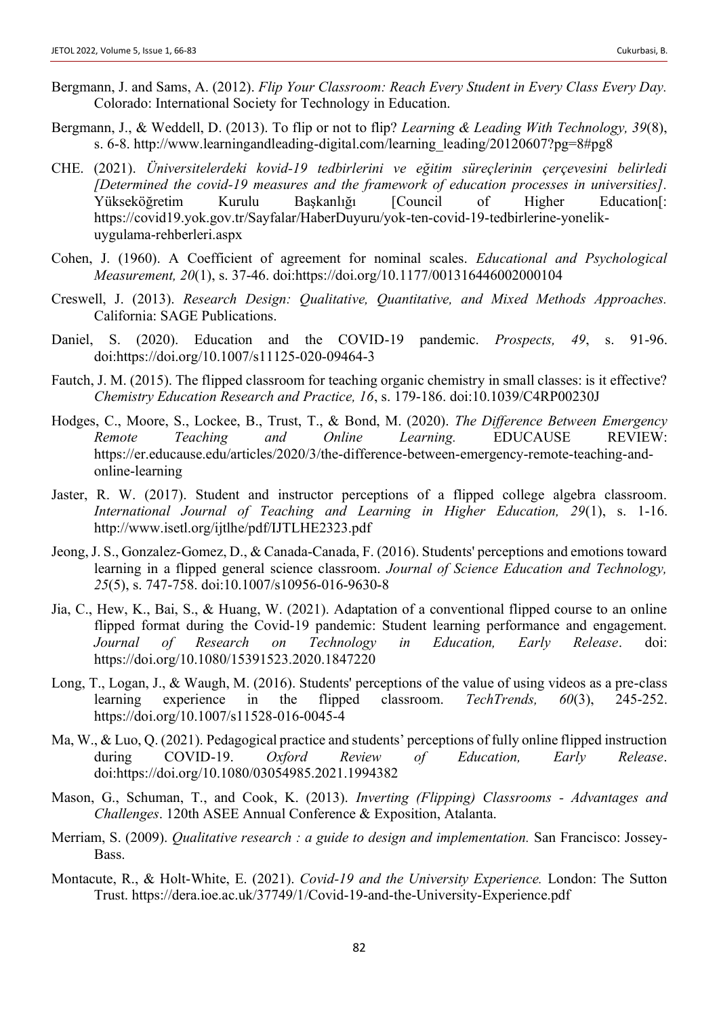- Bergmann, J. and Sams, A. (2012). *Flip Your Classroom: Reach Every Student in Every Class Every Day.* Colorado: International Society for Technology in Education.
- Bergmann, J., & Weddell, D. (2013). To flip or not to flip? *Learning & Leading With Technology, 39*(8), s. 6-8. http://www.learningandleading-digital.com/learning\_leading/20120607?pg=8#pg8
- CHE. (2021). *Üniversitelerdeki kovid-19 tedbirlerini ve eğitim süreçlerinin çerçevesini belirledi [Determined the covid-19 measures and the framework of education processes in universities].* Yükseköğretim Kurulu Başkanlığı [Council of Higher Education[: https://covid19.yok.gov.tr/Sayfalar/HaberDuyuru/yok-ten-covid-19-tedbirlerine-yonelikuygulama-rehberleri.aspx
- Cohen, J. (1960). A Coefficient of agreement for nominal scales. *Educational and Psychological Measurement, 20*(1), s. 37-46. doi:https://doi.org/10.1177/001316446002000104
- Creswell, J. (2013). *Research Design: Qualitative, Quantitative, and Mixed Methods Approaches.* California: SAGE Publications.
- Daniel, S. (2020). Education and the COVID-19 pandemic. *Prospects, 49*, s. 91-96. doi:https://doi.org/10.1007/s11125-020-09464-3
- Fautch, J. M. (2015). The flipped classroom for teaching organic chemistry in small classes: is it effective? *Chemistry Education Research and Practice, 16*, s. 179-186. doi:10.1039/C4RP00230J
- Hodges, C., Moore, S., Lockee, B., Trust, T., & Bond, M. (2020). *The Difference Between Emergency Remote Teaching and Online Learning.* EDUCAUSE REVIEW: https://er.educause.edu/articles/2020/3/the-difference-between-emergency-remote-teaching-andonline-learning
- Jaster, R. W. (2017). Student and instructor perceptions of a flipped college algebra classroom. *International Journal of Teaching and Learning in Higher Education, 29*(1), s. 1-16. http://www.isetl.org/ijtlhe/pdf/IJTLHE2323.pdf
- Jeong, J. S., Gonzalez-Gomez, D., & Canada-Canada, F. (2016). Students' perceptions and emotions toward learning in a flipped general science classroom. *Journal of Science Education and Technology, 25*(5), s. 747-758. doi:10.1007/s10956-016-9630-8
- Jia, C., Hew, K., Bai, S., & Huang, W. (2021). Adaptation of a conventional flipped course to an online flipped format during the Covid-19 pandemic: Student learning performance and engagement. *Journal of Research on Technology in Education, Early Release*. doi: https://doi.org/10.1080/15391523.2020.1847220
- Long, T., Logan, J., & Waugh, M. (2016). Students' perceptions of the value of using videos as a pre-class learning experience in the flipped classroom. *TechTrends, 60*(3), 245-252. https://doi.org/10.1007/s11528-016-0045-4
- Ma, W., & Luo, Q. (2021). Pedagogical practice and students' perceptions of fully online flipped instruction during COVID-19. *Oxford Review of Education, Early Release*. doi:https://doi.org/10.1080/03054985.2021.1994382
- Mason, G., Schuman, T., and Cook, K. (2013). *Inverting (Flipping) Classrooms - Advantages and Challenges*. 120th ASEE Annual Conference & Exposition, Atalanta.
- Merriam, S. (2009). *Qualitative research : a guide to design and implementation.* San Francisco: Jossey-Bass.
- Montacute, R., & Holt-White, E. (2021). *Covid-19 and the University Experience.* London: The Sutton Trust. https://dera.ioe.ac.uk/37749/1/Covid-19-and-the-University-Experience.pdf